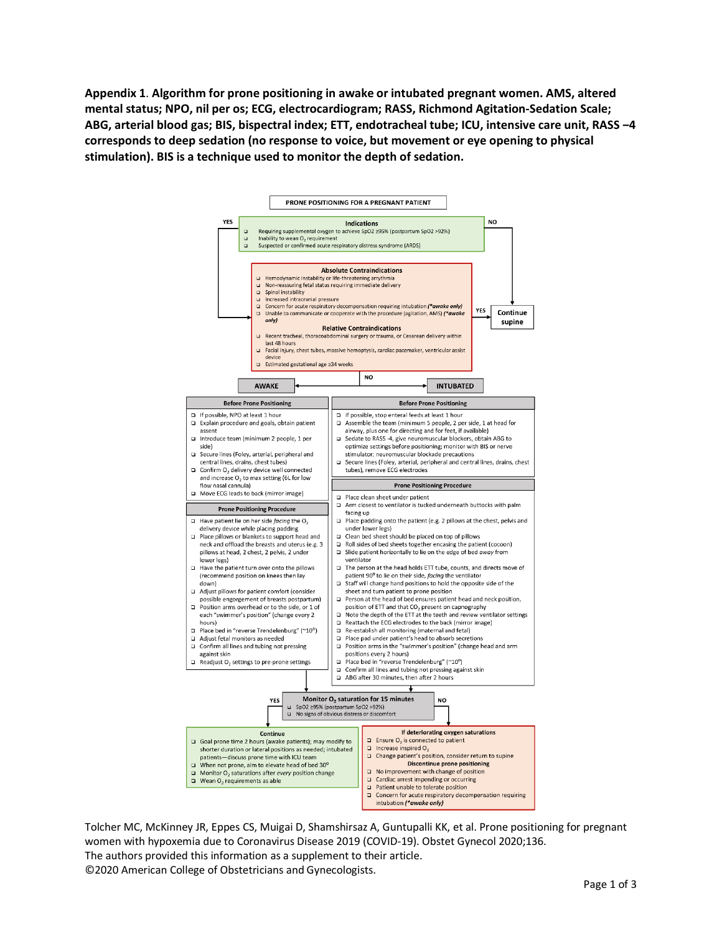**Appendix 1**. **Algorithm for prone positioning in awake or intubated pregnant women. AMS, altered mental status; NPO, nil per os; ECG, electrocardiogram; RASS, Richmond Agitation-Sedation Scale; ABG, arterial blood gas; BIS, bispectral index; ETT, endotracheal tube; ICU, intensive care unit, RASS ‒4 corresponds to deep sedation (no response to voice, but movement or eye opening to physical stimulation). BIS is a technique used to monitor the depth of sedation.**



Tolcher MC, McKinney JR, Eppes CS, Muigai D, Shamshirsaz A, Guntupalli KK, et al. Prone positioning for pregnant women with hypoxemia due to Coronavirus Disease 2019 (COVID-19). Obstet Gynecol 2020;136. The authors provided this information as a supplement to their article. ©2020 American College of Obstetricians and Gynecologists.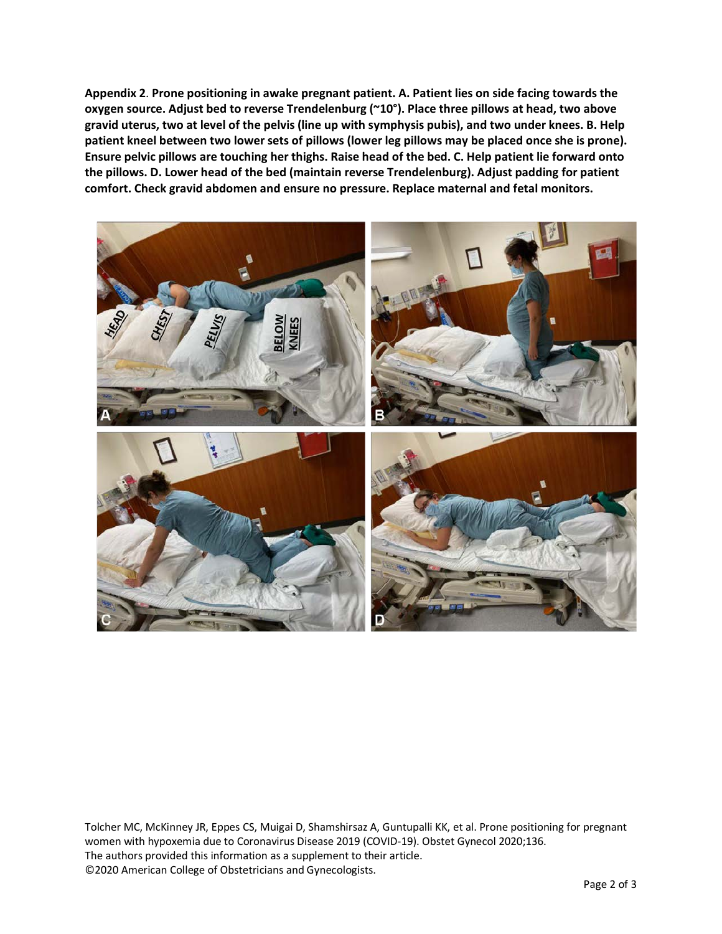**Appendix 2**. **Prone positioning in awake pregnant patient. A. Patient lies on side facing towards the oxygen source. Adjust bed to reverse Trendelenburg (~10°). Place three pillows at head, two above gravid uterus, two at level of the pelvis (line up with symphysis pubis), and two under knees. B. Help patient kneel between two lower sets of pillows (lower leg pillows may be placed once she is prone). Ensure pelvic pillows are touching her thighs. Raise head of the bed. C. Help patient lie forward onto the pillows. D. Lower head of the bed (maintain reverse Trendelenburg). Adjust padding for patient comfort. Check gravid abdomen and ensure no pressure. Replace maternal and fetal monitors.**



Tolcher MC, McKinney JR, Eppes CS, Muigai D, Shamshirsaz A, Guntupalli KK, et al. Prone positioning for pregnant women with hypoxemia due to Coronavirus Disease 2019 (COVID-19). Obstet Gynecol 2020;136. The authors provided this information as a supplement to their article. ©2020 American College of Obstetricians and Gynecologists.